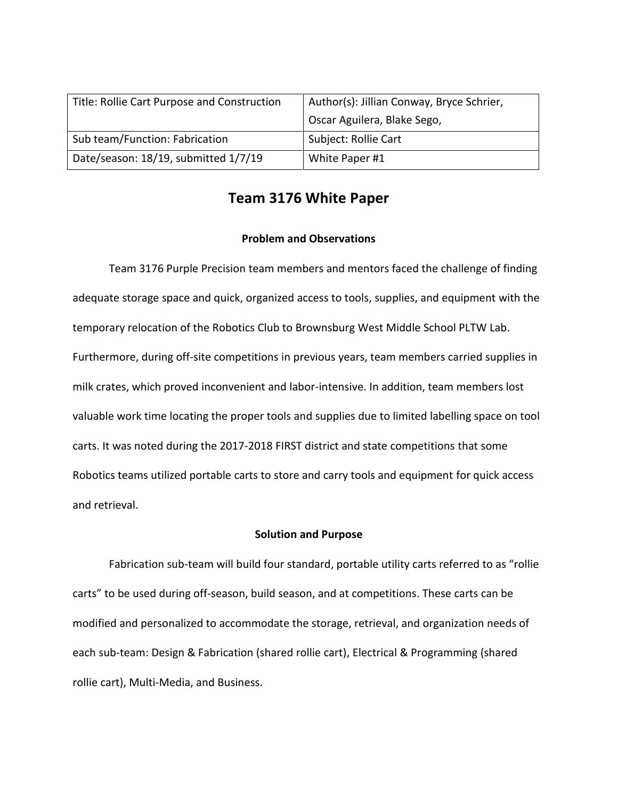| Title: Rollie Cart Purpose and Construction | Author(s): Jillian Conway, Bryce Schrier, |
|---------------------------------------------|-------------------------------------------|
|                                             | Oscar Aguilera, Blake Sego,               |
| Sub team/Function: Fabrication              | Subject: Rollie Cart                      |
| Date/season: 18/19, submitted 1/7/19        | White Paper #1                            |

# **Team 3176 White Paper**

# **Problem and Observations**

Team 3176 Purple Precision team members and mentors faced the challenge of finding adequate storage space and quick, organized access to tools, supplies, and equipment with the temporary relocation of the Robotics Club to Brownsburg West Middle School PLTW Lab. Furthermore, during off-site competitions in previous years, team members carried supplies in milk crates, which proved inconvenient and labor-intensive. In addition, team members lost valuable work time locating the proper tools and supplies due to limited labelling space on tool carts. It was noted during the 2017-2018 FIRST district and state competitions that some Robotics teams utilized portable carts to store and carry tools and equipment for quick access and retrieval.

# **Solution and Purpose**

Fabrication sub-team will build four standard, portable utility carts referred to as "rollie carts" to be used during off-season, build season, and at competitions. These carts can be modified and personalized to accommodate the storage, retrieval, and organization needs of each sub-team: Design & Fabrication (shared rollie cart), Electrical & Programming (shared rollie cart), Multi-Media, and Business.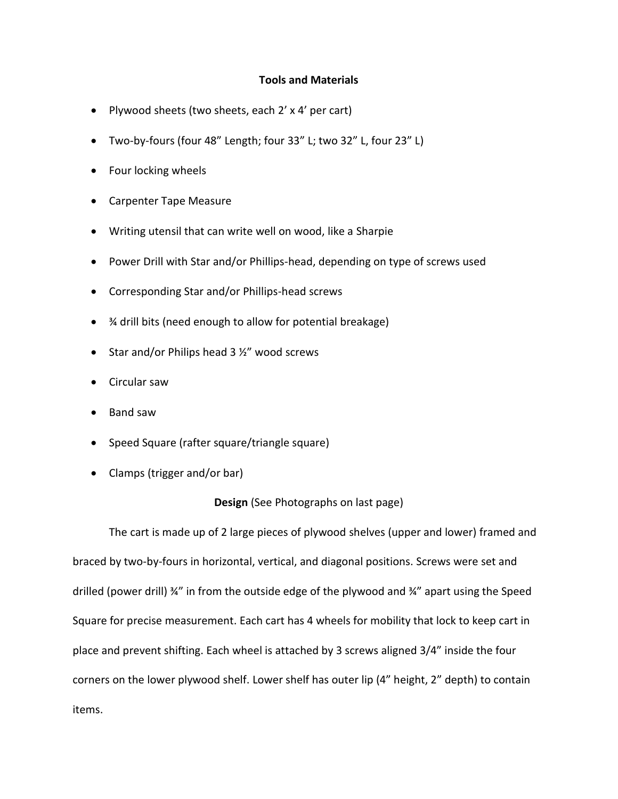#### **Tools and Materials**

- Plywood sheets (two sheets, each 2' x 4' per cart)
- Two-by-fours (four 48" Length; four 33" L; two 32" L, four 23" L)
- Four locking wheels
- Carpenter Tape Measure
- Writing utensil that can write well on wood, like a Sharpie
- Power Drill with Star and/or Phillips-head, depending on type of screws used
- Corresponding Star and/or Phillips-head screws
- ¾ drill bits (need enough to allow for potential breakage)
- $\bullet$  Star and/or Philips head 3  $\frac{1}{2}$ " wood screws
- Circular saw
- Band saw
- Speed Square (rafter square/triangle square)
- Clamps (trigger and/or bar)

# **Design** (See Photographs on last page)

The cart is made up of 2 large pieces of plywood shelves (upper and lower) framed and braced by two-by-fours in horizontal, vertical, and diagonal positions. Screws were set and drilled (power drill) ¾" in from the outside edge of the plywood and ¾" apart using the Speed Square for precise measurement. Each cart has 4 wheels for mobility that lock to keep cart in place and prevent shifting. Each wheel is attached by 3 screws aligned 3/4" inside the four corners on the lower plywood shelf. Lower shelf has outer lip (4" height, 2" depth) to contain items.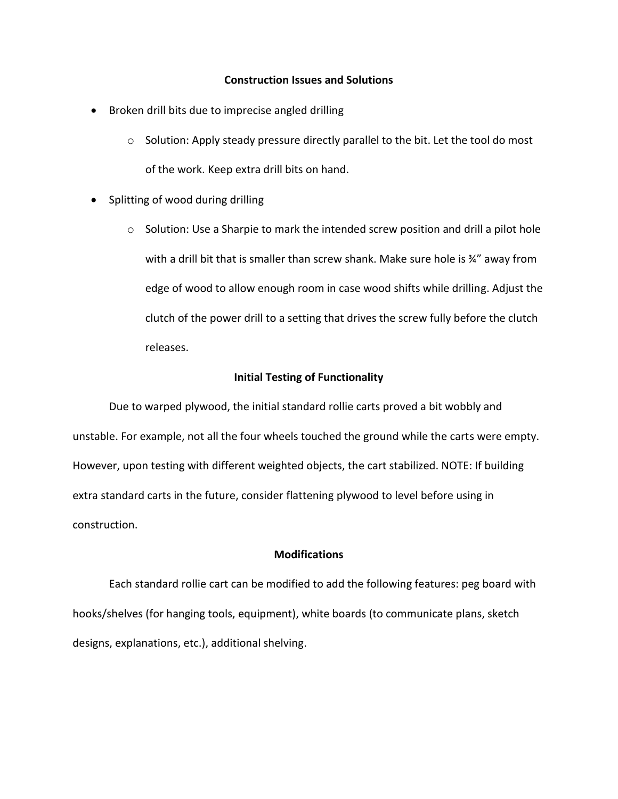#### **Construction Issues and Solutions**

- Broken drill bits due to imprecise angled drilling
	- $\circ$  Solution: Apply steady pressure directly parallel to the bit. Let the tool do most of the work. Keep extra drill bits on hand.
- Splitting of wood during drilling
	- o Solution: Use a Sharpie to mark the intended screw position and drill a pilot hole with a drill bit that is smaller than screw shank. Make sure hole is 34" away from edge of wood to allow enough room in case wood shifts while drilling. Adjust the clutch of the power drill to a setting that drives the screw fully before the clutch releases.

#### **Initial Testing of Functionality**

Due to warped plywood, the initial standard rollie carts proved a bit wobbly and unstable. For example, not all the four wheels touched the ground while the carts were empty. However, upon testing with different weighted objects, the cart stabilized. NOTE: If building extra standard carts in the future, consider flattening plywood to level before using in construction.

#### **Modifications**

Each standard rollie cart can be modified to add the following features: peg board with hooks/shelves (for hanging tools, equipment), white boards (to communicate plans, sketch designs, explanations, etc.), additional shelving.